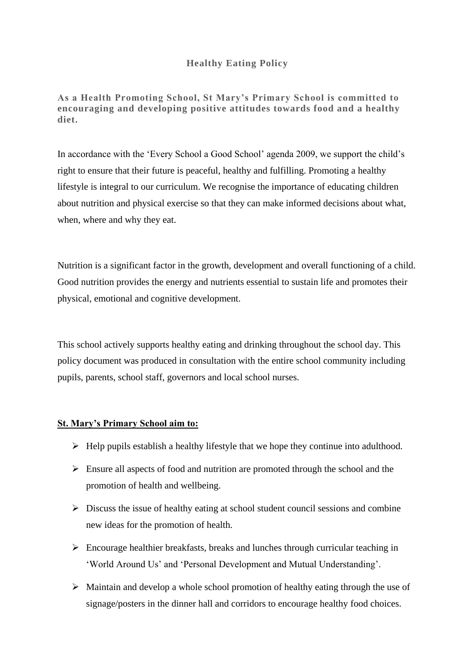# **Healthy Eating Policy**

**As a Health Promoting School, St Mary's Primary School is committed to encouraging and developing positive attitudes towards food and a healthy diet.**

In accordance with the 'Every School a Good School' agenda 2009, we support the child's right to ensure that their future is peaceful, healthy and fulfilling. Promoting a healthy lifestyle is integral to our curriculum. We recognise the importance of educating children about nutrition and physical exercise so that they can make informed decisions about what, when, where and why they eat.

Nutrition is a significant factor in the growth, development and overall functioning of a child. Good nutrition provides the energy and nutrients essential to sustain life and promotes their physical, emotional and cognitive development.

This school actively supports healthy eating and drinking throughout the school day. This policy document was produced in consultation with the entire school community including pupils, parents, school staff, governors and local school nurses.

## **St. Mary's Primary School aim to:**

- $\triangleright$  Help pupils establish a healthy lifestyle that we hope they continue into adulthood.
- $\triangleright$  Ensure all aspects of food and nutrition are promoted through the school and the promotion of health and wellbeing.
- $\triangleright$  Discuss the issue of healthy eating at school student council sessions and combine new ideas for the promotion of health.
- $\triangleright$  Encourage healthier breakfasts, breaks and lunches through curricular teaching in 'World Around Us' and 'Personal Development and Mutual Understanding'.
- $\triangleright$  Maintain and develop a whole school promotion of healthy eating through the use of signage/posters in the dinner hall and corridors to encourage healthy food choices.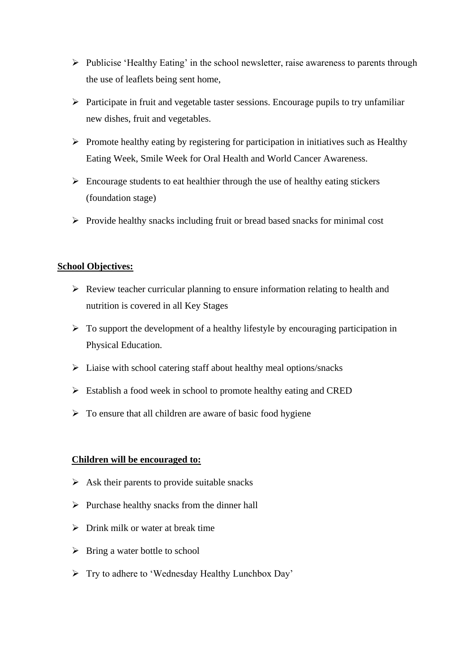- $\triangleright$  Publicise 'Healthy Eating' in the school newsletter, raise awareness to parents through the use of leaflets being sent home,
- $\triangleright$  Participate in fruit and vegetable taster sessions. Encourage pupils to try unfamiliar new dishes, fruit and vegetables.
- $\triangleright$  Promote healthy eating by registering for participation in initiatives such as Healthy Eating Week, Smile Week for Oral Health and World Cancer Awareness.
- $\triangleright$  Encourage students to eat healthier through the use of healthy eating stickers (foundation stage)
- $\triangleright$  Provide healthy snacks including fruit or bread based snacks for minimal cost

#### **School Objectives:**

- $\triangleright$  Review teacher curricular planning to ensure information relating to health and nutrition is covered in all Key Stages
- $\triangleright$  To support the development of a healthy lifestyle by encouraging participation in Physical Education.
- $\triangleright$  Liaise with school catering staff about healthy meal options/snacks
- $\triangleright$  Establish a food week in school to promote healthy eating and CRED
- $\triangleright$  To ensure that all children are aware of basic food hygiene

### **Children will be encouraged to:**

- $\triangleright$  Ask their parents to provide suitable snacks
- $\triangleright$  Purchase healthy snacks from the dinner hall
- $\triangleright$  Drink milk or water at break time
- $\triangleright$  Bring a water bottle to school
- > Try to adhere to 'Wednesday Healthy Lunchbox Day'